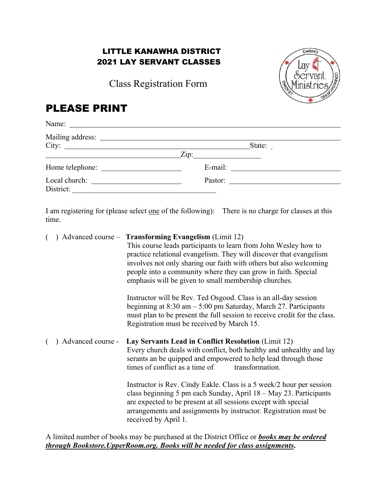## LITTLE KANAWHA DISTRICT 2021 LAY SERVANT CLASSES

Class Registration Form



# PLEASE PRINT

| Name: $\frac{1}{\sqrt{1-\frac{1}{2}}}\left\{ \frac{1}{2}, \frac{1}{2}, \frac{1}{2}, \frac{1}{2}, \frac{1}{2}, \frac{1}{2}, \frac{1}{2}, \frac{1}{2}, \frac{1}{2}, \frac{1}{2}, \frac{1}{2}, \frac{1}{2}, \frac{1}{2}, \frac{1}{2}, \frac{1}{2}, \frac{1}{2}, \frac{1}{2}, \frac{1}{2}, \frac{1}{2}, \frac{1}{2}, \frac{1}{2}, \frac{1}{2}, \frac{1}{2}, \frac{1}{2}, \frac{1}{2}, \frac{1}{2}, \frac{1}{2}, \frac{1}{$ |                                                                                                                                                                                                                                                                                                                                                                                                                                                                                                                                                                                                                                                                           |
|------------------------------------------------------------------------------------------------------------------------------------------------------------------------------------------------------------------------------------------------------------------------------------------------------------------------------------------------------------------------------------------------------------------------|---------------------------------------------------------------------------------------------------------------------------------------------------------------------------------------------------------------------------------------------------------------------------------------------------------------------------------------------------------------------------------------------------------------------------------------------------------------------------------------------------------------------------------------------------------------------------------------------------------------------------------------------------------------------------|
| City:                                                                                                                                                                                                                                                                                                                                                                                                                  | State:                                                                                                                                                                                                                                                                                                                                                                                                                                                                                                                                                                                                                                                                    |
|                                                                                                                                                                                                                                                                                                                                                                                                                        | $\overline{\phantom{a}}$ $\overline{\phantom{a}}$ $\overline{\phantom{a}}$ $\overline{\phantom{a}}$ $\overline{\phantom{a}}$ $\overline{\phantom{a}}$ $\overline{\phantom{a}}$ $\overline{\phantom{a}}$ $\overline{\phantom{a}}$ $\overline{\phantom{a}}$ $\overline{\phantom{a}}$ $\overline{\phantom{a}}$ $\overline{\phantom{a}}$ $\overline{\phantom{a}}$ $\overline{\phantom{a}}$ $\overline{\phantom{a}}$ $\overline{\phantom{a}}$ $\overline{\phantom{a}}$ $\overline{\$                                                                                                                                                                                           |
|                                                                                                                                                                                                                                                                                                                                                                                                                        |                                                                                                                                                                                                                                                                                                                                                                                                                                                                                                                                                                                                                                                                           |
| District:                                                                                                                                                                                                                                                                                                                                                                                                              |                                                                                                                                                                                                                                                                                                                                                                                                                                                                                                                                                                                                                                                                           |
| time.                                                                                                                                                                                                                                                                                                                                                                                                                  | I am registering for (please select <u>one</u> of the following): There is no charge for classes at this                                                                                                                                                                                                                                                                                                                                                                                                                                                                                                                                                                  |
| €                                                                                                                                                                                                                                                                                                                                                                                                                      | ) Advanced course – <b>Transforming Evangelism</b> (Limit 12)<br>This course leads participants to learn from John Wesley how to<br>practice relational evangelism. They will discover that evangelism<br>involves not only sharing our faith with others but also welcoming<br>people into a community where they can grow in faith. Special<br>emphasis will be given to small membership churches.<br>Instructor will be Rev. Ted Osgood. Class is an all-day session<br>beginning at $8:30$ am $-5:00$ pm Saturday, March 27. Participants<br>must plan to be present the full session to receive credit for the class.<br>Registration must be received by March 15. |
| ) Advanced course -                                                                                                                                                                                                                                                                                                                                                                                                    | Lay Servants Lead in Conflict Resolution (Limit 12)<br>Every church deals with conflict, both healthy and unhealthy and lay<br>serants an be quipped and empowered to help lead through those<br>times of conflict as a time of transformation.                                                                                                                                                                                                                                                                                                                                                                                                                           |
|                                                                                                                                                                                                                                                                                                                                                                                                                        | Instructor is Rev. Cindy Eakle. Class is a 5 week/2 hour per session<br>class beginning 5 pm each Sunday, April 18 - May 23. Participants<br>are expected to be present at all sessions except with special<br>arrangements and assignments by instructor. Registration must be<br>received by April 1.                                                                                                                                                                                                                                                                                                                                                                   |

A limited number of books may be purchased at the District Office or *books may be ordered through Bookstore.UpperRoom.org. Books will be needed for class assignments***.**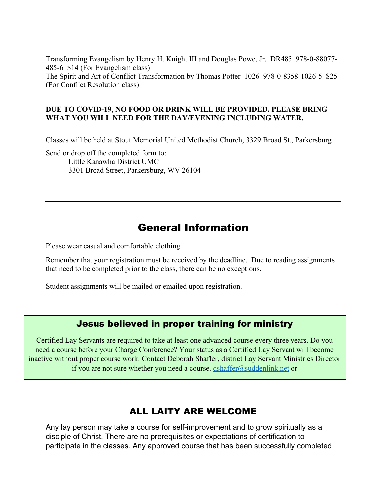Transforming Evangelism by Henry H. Knight III and Douglas Powe, Jr. DR485 978-0-88077- 485-6 \$14 (For Evangelism class) The Spirit and Art of Conflict Transformation by Thomas Potter 1026 978-0-8358-1026-5 \$25 (For Conflict Resolution class)

#### **DUE TO COVID-19**, **NO FOOD OR DRINK WILL BE PROVIDED. PLEASE BRING WHAT YOU WILL NEED FOR THE DAY/EVENING INCLUDING WATER.**

Classes will be held at Stout Memorial United Methodist Church, 3329 Broad St., Parkersburg

Send or drop off the completed form to: Little Kanawha District UMC 3301 Broad Street, Parkersburg, WV 26104

# General Information

Please wear casual and comfortable clothing.

Remember that your registration must be received by the deadline. Due to reading assignments that need to be completed prior to the class, there can be no exceptions.

Student assignments will be mailed or emailed upon registration.

#### Jesus believed in proper training for ministry

Certified Lay Servants are required to take at least one advanced course every three years. Do you need a course before your Charge Conference? Your status as a Certified Lay Servant will become inactive without proper course work. Contact Deborah Shaffer, district Lay Servant Ministries Director if you are not sure whether you need a course. dshaffer@suddenlink.net or

304-428-8536

## ALL LAITY ARE WELCOME

Any lay person may take a course for self-improvement and to grow spiritually as a disciple of Christ. There are no prerequisites or expectations of certification to participate in the classes. Any approved course that has been successfully completed